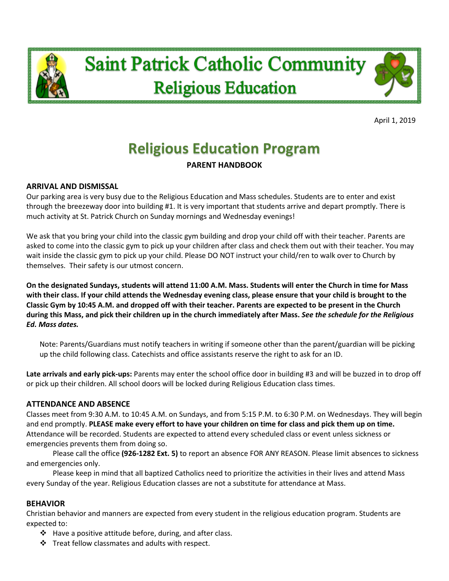



April 1, 2019

# **Religious Education Program**

## **PARENT HANDBOOK**

### **ARRIVAL AND DISMISSAL**

Our parking area is very busy due to the Religious Education and Mass schedules. Students are to enter and exist through the breezeway door into building #1. It is very important that students arrive and depart promptly. There is much activity at St. Patrick Church on Sunday mornings and Wednesday evenings!

We ask that you bring your child into the classic gym building and drop your child off with their teacher. Parents are asked to come into the classic gym to pick up your children after class and check them out with their teacher. You may wait inside the classic gym to pick up your child. Please DO NOT instruct your child/ren to walk over to Church by themselves. Their safety is our utmost concern.

**On the designated Sundays, students will attend 11:00 A.M. Mass. Students will enter the Church in time for Mass with their class. If your child attends the Wednesday evening class, please ensure that your child is brought to the Classic Gym by 10:45 A.M. and dropped off with their teacher. Parents are expected to be present in the Church during this Mass, and pick their children up in the church immediately after Mass.** *See the schedule for the Religious Ed. Mass dates.*

Note: Parents/Guardians must notify teachers in writing if someone other than the parent/guardian will be picking up the child following class. Catechists and office assistants reserve the right to ask for an ID.

**Late arrivals and early pick-ups:** Parents may enter the school office door in building #3 and will be buzzed in to drop off or pick up their children. All school doors will be locked during Religious Education class times.

#### **ATTENDANCE AND ABSENCE**

Classes meet from 9:30 A.M. to 10:45 A.M. on Sundays, and from 5:15 P.M. to 6:30 P.M. on Wednesdays. They will begin and end promptly. **PLEASE make every effort to have your children on time for class and pick them up on time.** Attendance will be recorded. Students are expected to attend every scheduled class or event unless sickness or emergencies prevents them from doing so.

Please call the office **(926-1282 Ext. 5)** to report an absence FOR ANY REASON. Please limit absences to sickness and emergencies only.

Please keep in mind that all baptized Catholics need to prioritize the activities in their lives and attend Mass every Sunday of the year. Religious Education classes are not a substitute for attendance at Mass.

#### **BEHAVIOR**

Christian behavior and manners are expected from every student in the religious education program. Students are expected to:

- $\div$  Have a positive attitude before, during, and after class.
- $\cdot \cdot$  Treat fellow classmates and adults with respect.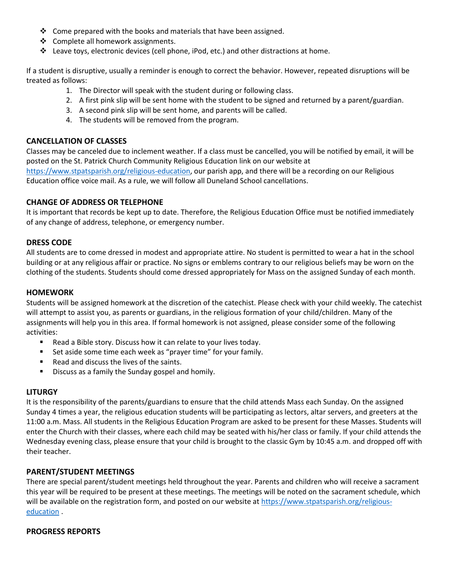- $\cdot$  Come prepared with the books and materials that have been assigned.
- ❖ Complete all homework assignments.
- $\clubsuit$  Leave toys, electronic devices (cell phone, iPod, etc.) and other distractions at home.

If a student is disruptive, usually a reminder is enough to correct the behavior. However, repeated disruptions will be treated as follows:

- 1. The Director will speak with the student during or following class.
- 2. A first pink slip will be sent home with the student to be signed and returned by a parent/guardian.
- 3. A second pink slip will be sent home, and parents will be called.
- 4. The students will be removed from the program.

#### **CANCELLATION OF CLASSES**

Classes may be canceled due to inclement weather. If a class must be cancelled, you will be notified by email, it will be posted on the St. Patrick Church Community Religious Education link on our website at [https://www.stpatsparish.org/religious-education,](https://www.stpatsparish.org/religious-education) our parish app, and there will be a recording on our Religious Education office voice mail. As a rule, we will follow all Duneland School cancellations.

#### **CHANGE OF ADDRESS OR TELEPHONE**

It is important that records be kept up to date. Therefore, the Religious Education Office must be notified immediately of any change of address, telephone, or emergency number.

#### **DRESS CODE**

All students are to come dressed in modest and appropriate attire. No student is permitted to wear a hat in the school building or at any religious affair or practice. No signs or emblems contrary to our religious beliefs may be worn on the clothing of the students. Students should come dressed appropriately for Mass on the assigned Sunday of each month.

#### **HOMEWORK**

Students will be assigned homework at the discretion of the catechist. Please check with your child weekly. The catechist will attempt to assist you, as parents or guardians, in the religious formation of your child/children. Many of the assignments will help you in this area. If formal homework is not assigned, please consider some of the following activities:

- Read a Bible story. Discuss how it can relate to your lives today.
- **EXECT** Set aside some time each week as "prayer time" for your family.
- Read and discuss the lives of the saints.
- **Discuss as a family the Sunday gospel and homily.**

#### **LITURGY**

It is the responsibility of the parents/guardians to ensure that the child attends Mass each Sunday. On the assigned Sunday 4 times a year, the religious education students will be participating as lectors, altar servers, and greeters at the 11:00 a.m. Mass. All students in the Religious Education Program are asked to be present for these Masses. Students will enter the Church with their classes, where each child may be seated with his/her class or family. If your child attends the Wednesday evening class, please ensure that your child is brought to the classic Gym by 10:45 a.m. and dropped off with their teacher.

#### **PARENT/STUDENT MEETINGS**

There are special parent/student meetings held throughout the year. Parents and children who will receive a sacrament this year will be required to be present at these meetings. The meetings will be noted on the sacrament schedule, which will be available on the registration form, and posted on our website at [https://www.stpatsparish.org/religious](https://www.stpatsparish.org/religious-education)[education](https://www.stpatsparish.org/religious-education) .

#### **PROGRESS REPORTS**